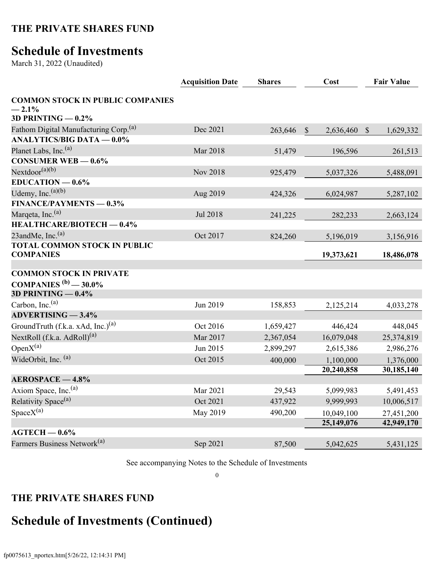### **Schedule of Investments**

March 31, 2022 (Unaudited)

| <b>COMMON STOCK IN PUBLIC COMPANIES</b><br>$-2.1%$                                                                     |                          |
|------------------------------------------------------------------------------------------------------------------------|--------------------------|
| 3D PRINTING $-0.2\%$                                                                                                   |                          |
| Fathom Digital Manufacturing Corp. <sup>(a)</sup><br>Dec 2021<br>263,646<br>$\mathbb{S}$<br>$\mathcal{S}$<br>2,636,460 | 1,629,332                |
| <b>ANALYTICS/BIG DATA - 0.0%</b>                                                                                       |                          |
| Planet Labs, Inc. <sup>(a)</sup><br><b>Mar 2018</b><br>51,479<br>196,596                                               | 261,513                  |
| CONSUMER WEB $-0.6\%$                                                                                                  |                          |
| $Nextdoor^{(a)(b)}$<br>Nov 2018<br>925,479<br>5,037,326                                                                | 5,488,091                |
| $EDUCATION -0.6%$                                                                                                      |                          |
| Udemy, Inc. $(a)(b)$<br>Aug 2019<br>424,326<br>6,024,987                                                               | 5,287,102                |
| <b>FINANCE/PAYMENTS - 0.3%</b>                                                                                         |                          |
| Marqeta, Inc. <sup>(a)</sup><br>Jul 2018<br>241,225<br>282,233                                                         | 2,663,124                |
| HEALTHCARE/BIOTECH - 0.4%                                                                                              |                          |
| 23andMe, Inc. $(a)$<br>Oct 2017<br>824,260<br>5,196,019                                                                | 3,156,916                |
| <b>TOTAL COMMON STOCK IN PUBLIC</b><br><b>COMPANIES</b><br>19,373,621                                                  | 18,486,078               |
|                                                                                                                        |                          |
| <b>COMMON STOCK IN PRIVATE</b>                                                                                         |                          |
| <b>COMPANIES</b> $^{(b)}$ - 30.0%<br>3D PRINTING $-0.4\%$                                                              |                          |
| Carbon, Inc. <sup>(a)</sup>                                                                                            |                          |
| Jun 2019<br>158,853<br>2,125,214<br><b>ADVERTISING - 3.4%</b>                                                          | 4,033,278                |
| GroundTruth (f.k.a. xAd, Inc.) <sup>(a)</sup><br>Oct 2016                                                              |                          |
| 446,424<br>1,659,427                                                                                                   | 448,045                  |
| NextRoll $(f.k.a. AdRoll)^{(a)}$<br>Mar 2017<br>2,367,054<br>16,079,048                                                | 25,374,819               |
| Open $X^{(a)}$<br>Jun 2015<br>2,899,297<br>2,615,386                                                                   | 2,986,276                |
| WideOrbit, Inc. (a)<br>Oct 2015<br>400,000<br>1,100,000                                                                | 1,376,000                |
| 20,240,858<br><b>AEROSPACE - 4.8%</b>                                                                                  | 30,185,140               |
| Axiom Space, Inc. <sup>(a)</sup><br>Mar 2021<br>29,543<br>5,099,983                                                    | 5,491,453                |
| Relativity Space <sup>(a)</sup><br>Oct 2021<br>437,922<br>9,999,993                                                    | 10,006,517               |
|                                                                                                                        |                          |
| $SpaceX^{(a)}$<br>May 2019<br>490,200<br>10,049,100<br>25,149,076                                                      | 27,451,200<br>42,949,170 |
| $AGTECH - 0.6\%$                                                                                                       |                          |
| Farmers Business Network <sup>(a)</sup><br>Sep 2021<br>87,500<br>5,042,625                                             | 5,431,125                |

See accompanying Notes to the Schedule of Investments

0

#### **THE PRIVATE SHARES FUND**

# **Schedule of Investments (Continued)**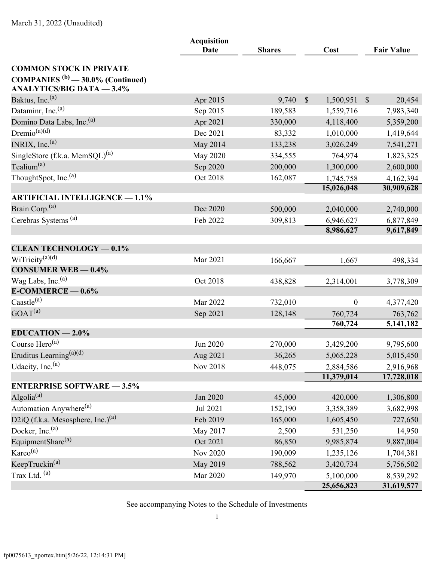|                                                                                    | <b>Acquisition</b><br>Date<br><b>Shares</b> |         |                           | <b>Fair Value</b>       |
|------------------------------------------------------------------------------------|---------------------------------------------|---------|---------------------------|-------------------------|
|                                                                                    |                                             |         | Cost                      |                         |
| <b>COMMON STOCK IN PRIVATE</b>                                                     |                                             |         |                           |                         |
| COMPANIES <sup>(b)</sup> $-$ 30.0% (Continued)<br><b>ANALYTICS/BIG DATA - 3.4%</b> |                                             |         |                           |                         |
| Baktus, Inc. <sup>(a)</sup>                                                        | Apr 2015                                    | 9,740   | $\mathbb{S}$<br>1,500,951 | $\mathcal{S}$<br>20,454 |
| Dataminr, Inc. <sup>(a)</sup>                                                      | Sep 2015                                    | 189,583 | 1,559,716                 | 7,983,340               |
| Domino Data Labs, Inc. <sup>(a)</sup>                                              | Apr 2021                                    | 330,000 | 4,118,400                 | 5,359,200               |
| Dremio <sup>(a)(d)</sup>                                                           | Dec 2021                                    | 83,332  | 1,010,000                 | 1,419,644               |
| INRIX, Inc. $(a)$                                                                  | May 2014                                    | 133,238 | 3,026,249                 | 7,541,271               |
| SingleStore (f.k.a. MemSQL) <sup>(a)</sup>                                         | May 2020                                    | 334,555 | 764,974                   | 1,823,325               |
| Tealium <sup>(a)</sup>                                                             | Sep 2020                                    | 200,000 | 1,300,000                 | 2,600,000               |
| ThoughtSpot, Inc. <sup>(a)</sup>                                                   | Oct 2018                                    | 162,087 | 1,745,758                 | 4,162,394               |
|                                                                                    |                                             |         | 15,026,048                | 30,909,628              |
| <b>ARTIFICIAL INTELLIGENCE - 1.1%</b>                                              |                                             |         |                           |                         |
| Brain Corp. <sup>(a)</sup>                                                         | Dec 2020                                    | 500,000 | 2,040,000                 | 2,740,000               |
| Cerebras Systems <sup>(a)</sup>                                                    | Feb 2022                                    | 309,813 | 6,946,627                 | 6,877,849               |
|                                                                                    |                                             |         | 8,986,627                 | 9,617,849               |
| <b>CLEAN TECHNOLOGY - 0.1%</b>                                                     |                                             |         |                           |                         |
| WiTricity $(a)(d)$                                                                 | Mar 2021                                    | 166,667 | 1,667                     | 498,334                 |
| <b>CONSUMER WEB - 0.4%</b>                                                         |                                             |         |                           |                         |
| Wag Labs, Inc. <sup>(a)</sup>                                                      | Oct 2018                                    | 438,828 | 2,314,001                 | 3,778,309               |
| $E$ -COMMERCE $-0.6\%$                                                             |                                             |         |                           |                         |
| $\text{Caastle}^{(a)}$                                                             | Mar 2022                                    | 732,010 | $\boldsymbol{0}$          | 4,377,420               |
| GOAT <sup>(a)</sup>                                                                | Sep 2021                                    | 128,148 | 760,724                   | 763,762                 |
|                                                                                    |                                             |         | 760,724                   | 5, 141, 182             |
| $EDUCATION - 2.0\%$                                                                |                                             |         |                           |                         |
| Course $Hero^{(a)}$                                                                | Jun 2020                                    | 270,000 | 3,429,200                 | 9,795,600               |
| Eruditus Learning <sup>(a)(d)</sup>                                                | Aug 2021                                    | 36,265  | 5,065,228                 | 5,015,450               |
| Udacity, Inc. <sup>(a)</sup>                                                       | Nov 2018                                    | 448,075 | 2,884,586                 | 2,916,968               |
|                                                                                    |                                             |         | 11,379,014                | 17,728,018              |
| <b>ENTERPRISE SOFTWARE - 3.5%</b>                                                  |                                             |         |                           |                         |
| Algolia <sup>(a)</sup>                                                             | Jan 2020                                    | 45,000  | 420,000                   | 1,306,800               |
| Automation Anywhere <sup>(a)</sup>                                                 | Jul 2021                                    | 152,190 | 3,358,389                 | 3,682,998               |
| D2iQ (f.k.a. Mesosphere, Inc.) <sup>(a)</sup>                                      | Feb 2019                                    | 165,000 | 1,605,450                 | 727,650                 |
| Docker, Inc. <sup>(a)</sup>                                                        | May 2017                                    | 2,500   | 531,250                   | 14,950                  |
| EquipmentShare <sup>(a)</sup>                                                      | Oct 2021                                    | 86,850  | 9,985,874                 | 9,887,004               |
| Kareo <sup>(a)</sup>                                                               | <b>Nov 2020</b>                             | 190,009 | 1,235,126                 | 1,704,381               |
| KeepTruckin <sup>(a)</sup>                                                         | May 2019                                    | 788,562 | 3,420,734                 | 5,756,502               |
| Trax Ltd. (a)                                                                      | Mar 2020                                    | 149,970 | 5,100,000<br>25,656,823   | 8,539,292<br>31,619,577 |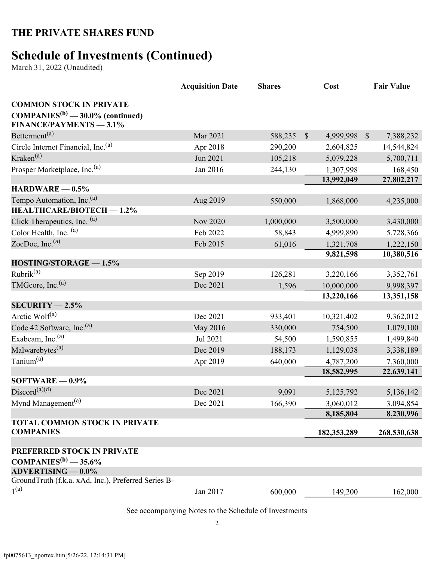## **Schedule of Investments (Continued)**

March 31, 2022 (Unaudited)

|                                                                                                            | <b>Acquisition Date</b> | <b>Shares</b> | Cost                      | <b>Fair Value</b>         |
|------------------------------------------------------------------------------------------------------------|-------------------------|---------------|---------------------------|---------------------------|
| <b>COMMON STOCK IN PRIVATE</b><br>$COMPANIES^{(b)} - 30.0\%$ (continued)<br><b>FINANCE/PAYMENTS - 3.1%</b> |                         |               |                           |                           |
| Betterment <sup>(a)</sup>                                                                                  | Mar 2021                | 588,235       | $\mathbb{S}$<br>4,999,998 | $\mathbb{S}$<br>7,388,232 |
| Circle Internet Financial, Inc. <sup>(a)</sup>                                                             | Apr 2018                | 290,200       | 2,604,825                 | 14,544,824                |
| Kraken <sup>(a)</sup>                                                                                      | Jun 2021                | 105,218       | 5,079,228                 | 5,700,711                 |
| Prosper Marketplace, Inc. <sup>(a)</sup>                                                                   | Jan 2016                | 244,130       | 1,307,998                 | 168,450                   |
|                                                                                                            |                         |               | 13,992,049                | 27,802,217                |
| $HARDWARE = 0.5%$                                                                                          |                         |               |                           |                           |
| Tempo Automation, Inc. <sup>(a)</sup>                                                                      | Aug 2019                | 550,000       | 1,868,000                 | 4,235,000                 |
| <b>HEALTHCARE/BIOTECH - 1.2%</b>                                                                           |                         |               |                           |                           |
| Click Therapeutics, Inc. (a)                                                                               | <b>Nov 2020</b>         | 1,000,000     | 3,500,000                 | 3,430,000                 |
| Color Health, Inc. (a)                                                                                     | Feb 2022                | 58,843        | 4,999,890                 | 5,728,366                 |
| ZocDoc, Inc. $(a)$                                                                                         | Feb 2015                | 61,016        | 1,321,708<br>9,821,598    | 1,222,150<br>10,380,516   |
| HOSTING/STORAGE - 1.5%                                                                                     |                         |               |                           |                           |
| Rubrik <sup>(a)</sup>                                                                                      | Sep 2019                | 126,281       | 3,220,166                 | 3,352,761                 |
| TMGcore, Inc. $(a)$                                                                                        | Dec 2021                | 1,596         | 10,000,000                | 9,998,397                 |
|                                                                                                            |                         |               | 13,220,166                | 13,351,158                |
| $SECURITY - 2.5%$                                                                                          |                         |               |                           |                           |
| Arctic Wolf <sup>(a)</sup>                                                                                 | Dec 2021                | 933,401       | 10,321,402                | 9,362,012                 |
| Code 42 Software, Inc. <sup>(a)</sup>                                                                      | May 2016                | 330,000       | 754,500                   | 1,079,100                 |
| Exabeam, Inc. <sup>(a)</sup>                                                                               | Jul 2021                | 54,500        | 1,590,855                 | 1,499,840                 |
| Malwarebytes <sup>(a)</sup>                                                                                | Dec 2019                | 188,173       | 1,129,038                 | 3,338,189                 |
| Tanium <sup>(a)</sup>                                                                                      | Apr 2019                | 640,000       | 4,787,200                 | 7,360,000                 |
|                                                                                                            |                         |               | 18,582,995                | 22,639,141                |
| $SOFTWARE = 0.9\%$                                                                                         |                         |               |                           |                           |
| Discord <sup>(a)(d)</sup>                                                                                  | Dec 2021                | 9,091         | 5,125,792                 | 5,136,142                 |
| Mynd Management <sup>(a)</sup>                                                                             | Dec 2021                | 166,390       | 3,060,012                 | 3,094,854                 |
|                                                                                                            |                         |               | 8,185,804                 | 8,230,996                 |
| <b>TOTAL COMMON STOCK IN PRIVATE</b><br><b>COMPANIES</b>                                                   |                         |               | 182,353,289               | 268,530,638               |
| PREFERRED STOCK IN PRIVATE<br>COMPANIES <sup>(b)</sup> $-$ 35.6%                                           |                         |               |                           |                           |
| <b>ADVERTISING — 0.0%</b>                                                                                  |                         |               |                           |                           |
| GroundTruth (f.k.a. xAd, Inc.), Preferred Series B-<br>1 <sup>(a)</sup>                                    | Jan 2017                | 600,000       | 149,200                   | 162,000                   |
|                                                                                                            |                         |               |                           |                           |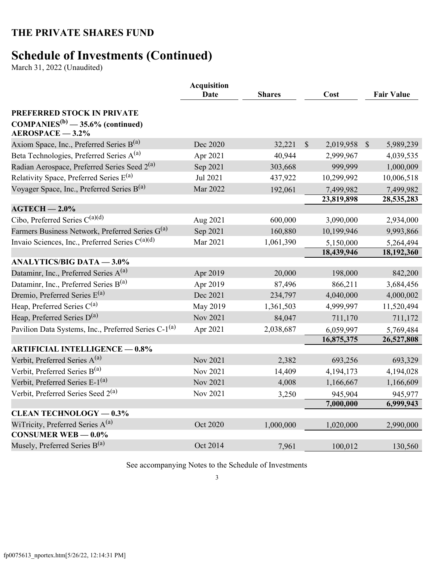## **Schedule of Investments (Continued)**

March 31, 2022 (Unaudited)

|                                                                                          | <b>Acquisition</b><br><b>Date</b> | <b>Shares</b> | Cost                       | <b>Fair Value</b>          |
|------------------------------------------------------------------------------------------|-----------------------------------|---------------|----------------------------|----------------------------|
| PREFERRED STOCK IN PRIVATE                                                               |                                   |               |                            |                            |
| $COMPANIES^{(b)} - 35.6\%$ (continued)<br>$AEROSPACE - 3.2%$                             |                                   |               |                            |                            |
| Axiom Space, Inc., Preferred Series $B^{(a)}$                                            | Dec 2020                          | 32,221        | $\mathcal{S}$<br>2,019,958 | $\mathcal{S}$<br>5,989,239 |
| Beta Technologies, Preferred Series A <sup>(a)</sup>                                     | Apr 2021                          | 40,944        | 2,999,967                  | 4,039,535                  |
| Radian Aerospace, Preferred Series Seed 2 <sup>(a)</sup>                                 | Sep 2021                          | 303,668       | 999,999                    | 1,000,009                  |
| Relativity Space, Preferred Series E <sup>(a)</sup>                                      | Jul 2021                          | 437,922       | 10,299,992                 | 10,006,518                 |
| Voyager Space, Inc., Preferred Series $B^{(a)}$                                          | Mar 2022                          | 192,061       | 7,499,982                  | 7,499,982                  |
|                                                                                          |                                   |               | 23,819,898                 | 28,535,283                 |
| $AGTECH - 2.0\%$                                                                         |                                   |               |                            |                            |
| Cibo, Preferred Series C <sup>(a)(d)</sup>                                               | Aug 2021                          | 600,000       | 3,090,000                  | 2,934,000                  |
| Farmers Business Network, Preferred Series G <sup>(a)</sup>                              | Sep 2021                          | 160,880       | 10,199,946                 | 9,993,866                  |
| Invaio Sciences, Inc., Preferred Series $C^{(a)(d)}$                                     | Mar 2021                          | 1,061,390     | 5,150,000                  | 5,264,494                  |
|                                                                                          |                                   |               | 18,439,946                 | 18,192,360                 |
| <b>ANALYTICS/BIG DATA - 3.0%</b>                                                         |                                   |               |                            |                            |
| Dataminr, Inc., Preferred Series A <sup>(a)</sup>                                        | Apr 2019                          | 20,000        | 198,000                    | 842,200                    |
| Dataminr, Inc., Preferred Series B(a)                                                    | Apr 2019                          | 87,496        | 866,211                    | 3,684,456                  |
| Dremio, Preferred Series $E^{(a)}$                                                       | Dec 2021                          | 234,797       | 4,040,000                  | 4,000,002                  |
| Heap, Preferred Series $C^{(a)}$                                                         | May 2019                          | 1,361,503     | 4,999,997                  | 11,520,494                 |
| Heap, Preferred Series $D^{(a)}$                                                         | <b>Nov 2021</b>                   | 84,047        | 711,170                    | 711,172                    |
| Pavilion Data Systems, Inc., Preferred Series C-1 <sup>(a)</sup>                         | Apr 2021                          | 2,038,687     | 6,059,997                  | 5,769,484                  |
|                                                                                          |                                   |               | 16,875,375                 | 26,527,808                 |
| <b>ARTIFICIAL INTELLIGENCE - 0.8%</b><br>Verbit, Preferred Series $A^{(a)}$              |                                   |               |                            |                            |
|                                                                                          | Nov 2021                          | 2,382         | 693,256                    | 693,329                    |
| Verbit, Preferred Series B <sup>(a)</sup><br>Verbit, Preferred Series E-1 <sup>(a)</sup> | <b>Nov 2021</b>                   | 14,409        | 4,194,173                  | 4,194,028                  |
|                                                                                          | <b>Nov 2021</b>                   | 4,008         | 1,166,667                  | 1,166,609                  |
| Verbit, Preferred Series Seed 2 <sup>(a)</sup>                                           | Nov 2021                          | 3,250         | 945,904                    | 945,977                    |
| <b>CLEAN TECHNOLOGY - 0.3%</b>                                                           |                                   |               | 7,000,000                  | 6,999,943                  |
| WiTricity, Preferred Series A <sup>(a)</sup>                                             | Oct 2020                          | 1,000,000     | 1,020,000                  | 2,990,000                  |
| CONSUMER WEB $-0.0\%$                                                                    |                                   |               |                            |                            |
| Musely, Preferred Series $B^{(a)}$                                                       | Oct 2014                          | 7,961         | 100,012                    | 130,560                    |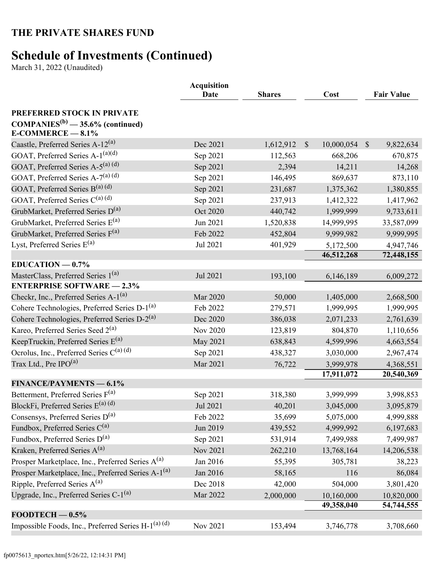## **Schedule of Investments (Continued)**

March 31, 2022 (Unaudited)

|                                                                  | <b>Acquisition</b><br>Date<br><b>Shares</b> |           |               | Cost       |               | <b>Fair Value</b> |
|------------------------------------------------------------------|---------------------------------------------|-----------|---------------|------------|---------------|-------------------|
| PREFERRED STOCK IN PRIVATE                                       |                                             |           |               |            |               |                   |
| $COMPANIES^{(b)} - 35.6\%$ (continued)<br>$E$ -COMMERCE $-8.1\%$ |                                             |           |               |            |               |                   |
| Caastle, Preferred Series A-12 <sup>(a)</sup>                    | Dec 2021                                    | 1,612,912 | $\mathcal{S}$ | 10,000,054 | $\mathcal{S}$ | 9,822,634         |
| GOAT, Preferred Series A-1 <sup>(a)(d)</sup>                     | Sep 2021                                    | 112,563   |               | 668,206    |               | 670,875           |
| GOAT, Preferred Series A-5 <sup>(a) (d)</sup>                    | Sep 2021                                    | 2,394     |               | 14,211     |               | 14,268            |
| GOAT, Preferred Series A-7(a) (d)                                | Sep 2021                                    | 146,495   |               | 869,637    |               | 873,110           |
| GOAT, Preferred Series $B^{(a)(d)}$                              | Sep 2021                                    | 231,687   |               | 1,375,362  |               | 1,380,855         |
| GOAT, Preferred Series C(a) (d)                                  | Sep 2021                                    | 237,913   |               | 1,412,322  |               | 1,417,962         |
| GrubMarket, Preferred Series D <sup>(a)</sup>                    | Oct 2020                                    | 440,742   |               | 1,999,999  |               | 9,733,611         |
| GrubMarket, Preferred Series E <sup>(a)</sup>                    | Jun 2021                                    | 1,520,838 |               | 14,999,995 |               | 33,587,099        |
| GrubMarket, Preferred Series F(a)                                | Feb 2022                                    | 452,804   |               | 9,999,982  |               | 9,999,995         |
| Lyst, Preferred Series $E^{(a)}$                                 | Jul 2021                                    | 401,929   |               | 5,172,500  |               | 4,947,746         |
|                                                                  |                                             |           |               | 46,512,268 |               | 72,448,155        |
| $EDUCATION -0.7%$                                                |                                             |           |               |            |               |                   |
| MasterClass, Preferred Series 1 <sup>(a)</sup>                   | Jul 2021                                    | 193,100   |               | 6,146,189  |               | 6,009,272         |
| <b>ENTERPRISE SOFTWARE - 2.3%</b>                                |                                             |           |               |            |               |                   |
| Checkr, Inc., Preferred Series A-1 <sup>(a)</sup>                | Mar 2020                                    | 50,000    |               | 1,405,000  |               | 2,668,500         |
| Cohere Technologies, Preferred Series D-1 <sup>(a)</sup>         | Feb 2022                                    | 279,571   |               | 1,999,995  |               | 1,999,995         |
| Cohere Technologies, Preferred Series D-2 <sup>(a)</sup>         | Dec 2020                                    | 386,038   |               | 2,071,233  |               | 2,761,639         |
| Kareo, Preferred Series Seed 2 <sup>(a)</sup>                    | Nov 2020                                    | 123,819   |               | 804,870    |               | 1,110,656         |
| KeepTruckin, Preferred Series $E^{(a)}$                          | <b>May 2021</b>                             | 638,843   |               | 4,599,996  |               | 4,663,554         |
| Ocrolus, Inc., Preferred Series C <sup>(a) (d)</sup>             | Sep 2021                                    | 438,327   |               | 3,030,000  |               | 2,967,474         |
| Trax Ltd., Pre IPO $^{(a)}$                                      | Mar 2021                                    | 76,722    |               | 3,999,978  |               | 4,368,551         |
| <b>FINANCE/PAYMENTS — 6.1%</b>                                   |                                             |           |               | 17,911,072 |               | 20,540,369        |
| Betterment, Preferred Series F <sup>(a)</sup>                    | Sep 2021                                    | 318,380   |               | 3,999,999  |               | 3,998,853         |
| BlockFi, Preferred Series $E^{(a)(d)}$                           | Jul 2021                                    | 40,201    |               | 3,045,000  |               | 3,095,879         |
| Consensys, Preferred Series D <sup>(a)</sup>                     | Feb 2022                                    | 35,699    |               | 5,075,000  |               | 4,999,888         |
| Fundbox, Preferred Series $C^{(a)}$                              | Jun 2019                                    | 439,552   |               | 4,999,992  |               | 6,197,683         |
| Fundbox, Preferred Series D <sup>(a)</sup>                       | Sep 2021                                    | 531,914   |               | 7,499,988  |               | 7,499,987         |
| Kraken, Preferred Series A <sup>(a)</sup>                        | Nov 2021                                    | 262,210   |               | 13,768,164 |               | 14,206,538        |
| Prosper Marketplace, Inc., Preferred Series A <sup>(a)</sup>     | Jan 2016                                    | 55,395    |               | 305,781    |               | 38,223            |
| Prosper Marketplace, Inc., Preferred Series A-1 <sup>(a)</sup>   | Jan 2016                                    | 58,165    |               | 116        |               | 86,084            |
| Ripple, Preferred Series $A^{(a)}$                               | Dec 2018                                    | 42,000    |               | 504,000    |               | 3,801,420         |
| Upgrade, Inc., Preferred Series $C-1^{(a)}$                      | Mar 2022                                    | 2,000,000 |               | 10,160,000 |               | 10,820,000        |
|                                                                  |                                             |           |               | 49,358,040 |               | 54,744,555        |
| $FOODTECH - 0.5%$                                                |                                             |           |               |            |               |                   |
| Impossible Foods, Inc., Preferred Series H-1 <sup>(a)</sup> (d)  | Nov 2021                                    | 153,494   |               | 3,746,778  |               | 3,708,660         |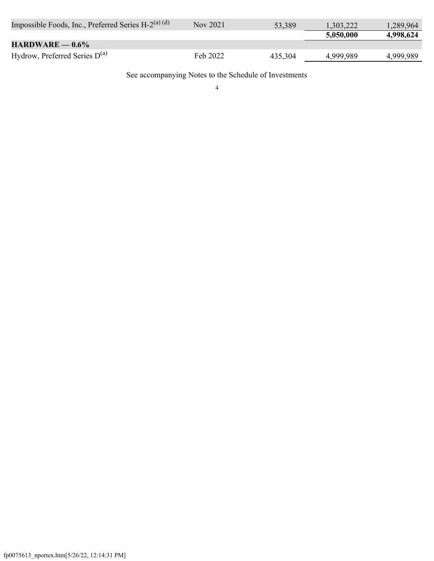| Impossible Foods, Inc., Preferred Series H-2 <sup>(a)</sup> (d) | Nov 2021 | 53,389  | .303,222  | 1,289,964 |
|-----------------------------------------------------------------|----------|---------|-----------|-----------|
|                                                                 |          |         | 5,050,000 | 4,998,624 |
| $HARDWARE = 0.6\%$                                              |          |         |           |           |
| Hydrow, Preferred Series $D^{(a)}$                              | Feb 2022 | 435,304 | 4,999,989 | 4,999,989 |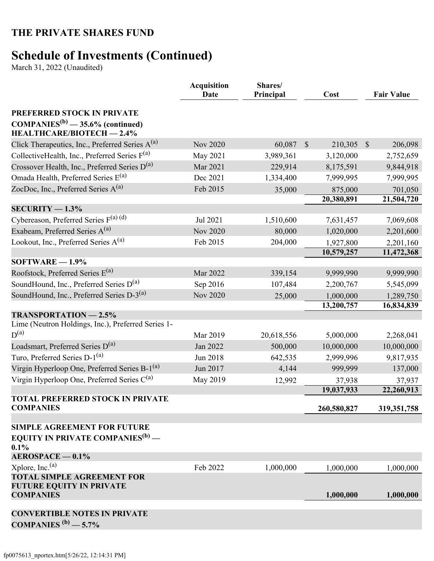# **Schedule of Investments (Continued)**

March 31, 2022 (Unaudited)

|                                                                            | <b>Acquisition</b><br>Shares/<br>Principal<br>Date |            | Cost                     | <b>Fair Value</b>       |
|----------------------------------------------------------------------------|----------------------------------------------------|------------|--------------------------|-------------------------|
| PREFERRED STOCK IN PRIVATE                                                 |                                                    |            |                          |                         |
| $COMPANIES^{(b)} - 35.6\%$ (continued)<br><b>HEALTHCARE/BIOTECH - 2.4%</b> |                                                    |            |                          |                         |
| Click Therapeutics, Inc., Preferred Series $A^{(a)}$                       | <b>Nov 2020</b>                                    | 60,087     | $\mathcal{S}$<br>210,305 | $\mathbb{S}$<br>206,098 |
| CollectiveHealth, Inc., Preferred Series $F^{(a)}$                         | May 2021                                           | 3,989,361  | 3,120,000                | 2,752,659               |
| Crossover Health, Inc., Preferred Series D <sup>(a)</sup>                  | Mar 2021                                           | 229,914    | 8,175,591                | 9,844,918               |
| Omada Health, Preferred Series E <sup>(a)</sup>                            | Dec 2021                                           | 1,334,400  | 7,999,995                | 7,999,995               |
| ZocDoc, Inc., Preferred Series A <sup>(a)</sup>                            | Feb 2015                                           | 35,000     | 875,000                  | 701,050                 |
|                                                                            |                                                    |            | 20,380,891               | 21,504,720              |
| $SECURITY - 1.3%$                                                          |                                                    |            |                          |                         |
| Cybereason, Preferred Series $F^{(a)(d)}$                                  | Jul 2021                                           | 1,510,600  | 7,631,457                | 7,069,608               |
| Exabeam, Preferred Series A <sup>(a)</sup>                                 | <b>Nov 2020</b>                                    | 80,000     | 1,020,000                | 2,201,600               |
| Lookout, Inc., Preferred Series $A^{(a)}$                                  | Feb 2015                                           | 204,000    | 1,927,800                | 2,201,160               |
|                                                                            |                                                    |            | 10,579,257               | 11,472,368              |
| $SOFTWARE - 1.9%$                                                          |                                                    |            |                          |                         |
| Roofstock, Preferred Series $E^{(a)}$                                      | Mar 2022                                           | 339,154    | 9,999,990                | 9,999,990               |
| SoundHound, Inc., Preferred Series D <sup>(a)</sup>                        | Sep 2016                                           | 107,484    | 2,200,767                | 5,545,099               |
| SoundHound, Inc., Preferred Series D-3 <sup>(a)</sup>                      | <b>Nov 2020</b>                                    | 25,000     | 1,000,000<br>13,200,757  | 1,289,750<br>16,834,839 |
| <b>TRANSPORTATION - 2.5%</b>                                               |                                                    |            |                          |                         |
| Lime (Neutron Holdings, Inc.), Preferred Series 1-                         |                                                    |            |                          |                         |
| $D^{(a)}$                                                                  | Mar 2019                                           | 20,618,556 | 5,000,000                | 2,268,041               |
| Loadsmart, Preferred Series D <sup>(a)</sup>                               | Jan 2022                                           | 500,000    | 10,000,000               | 10,000,000              |
| Turo, Preferred Series D-1 <sup>(a)</sup>                                  | Jun 2018                                           | 642,535    | 2,999,996                | 9,817,935               |
| Virgin Hyperloop One, Preferred Series B-1 <sup>(a)</sup>                  | Jun 2017                                           | 4,144      | 999,999                  | 137,000                 |
| Virgin Hyperloop One, Preferred Series $C^{(a)}$                           | May 2019                                           | 12,992     | 37,938                   | 37,937                  |
|                                                                            |                                                    |            | 19,037,933               | 22,260,913              |
| <b>TOTAL PREFERRED STOCK IN PRIVATE</b><br><b>COMPANIES</b>                |                                                    |            | 260,580,827              | 319, 351, 758           |
| <b>SIMPLE AGREEMENT FOR FUTURE</b>                                         |                                                    |            |                          |                         |
| <b>EQUITY IN PRIVATE COMPANIES<sup>(b)</sup></b> —<br>0.1%                 |                                                    |            |                          |                         |
| $AEROSPACE - 0.1%$                                                         |                                                    |            |                          |                         |
| Xplore, Inc. <sup>(a)</sup><br><b>TOTAL SIMPLE AGREEMENT FOR</b>           | Feb 2022                                           | 1,000,000  | 1,000,000                | 1,000,000               |
| <b>FUTURE EQUITY IN PRIVATE</b><br><b>COMPANIES</b>                        |                                                    |            | 1,000,000                | 1,000,000               |
|                                                                            |                                                    |            |                          |                         |
| <b>CONVERTIBLE NOTES IN PRIVATE</b><br>COMPANIES $(b)$ - 5.7%              |                                                    |            |                          |                         |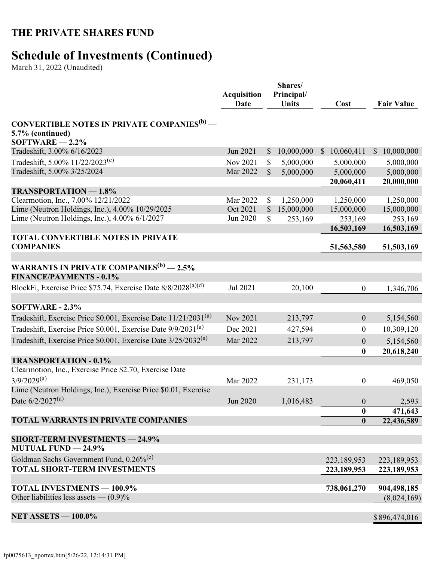## **Schedule of Investments (Continued)**

March 31, 2022 (Unaudited)

|                                                                                                        | <b>Acquisition</b><br><b>Date</b> |              | Shares/<br>Principal/<br><b>Units</b> | Cost             |              | <b>Fair Value</b> |
|--------------------------------------------------------------------------------------------------------|-----------------------------------|--------------|---------------------------------------|------------------|--------------|-------------------|
| <b>CONVERTIBLE NOTES IN PRIVATE COMPANIES<sup>(b)</sup></b> —<br>5.7% (continued)<br>$SOFTWARE$ - 2.2% |                                   |              |                                       |                  |              |                   |
| Tradeshift, 3.00% 6/16/2023                                                                            | Jun 2021                          | $\mathbb{S}$ | 10,000,000                            | \$10,060,411     | <sup>S</sup> | 10,000,000        |
| Tradeshift, 5.00% $11/22/2023^{(c)}$                                                                   | Nov 2021                          | \$           | 5,000,000                             | 5,000,000        |              | 5,000,000         |
| Tradeshift, 5.00% 3/25/2024                                                                            | Mar 2022                          | $\mathbb{S}$ | 5,000,000                             | 5,000,000        |              | 5,000,000         |
|                                                                                                        |                                   |              |                                       | 20,060,411       |              | 20,000,000        |
| <b>TRANSPORTATION - 1.8%</b>                                                                           |                                   |              |                                       |                  |              |                   |
| Clearmotion, Inc., 7.00% 12/21/2022                                                                    | Mar 2022                          | \$           | 1,250,000                             | 1,250,000        |              | 1,250,000         |
| Lime (Neutron Holdings, Inc.), 4.00% 10/29/2025                                                        | Oct 2021                          | $\mathbb{S}$ | 15,000,000                            | 15,000,000       |              | 15,000,000        |
| Lime (Neutron Holdings, Inc.), 4.00% 6/1/2027                                                          | Jun 2020                          | \$           | 253,169                               | 253,169          |              | 253,169           |
| TOTAL CONVERTIBLE NOTES IN PRIVATE                                                                     |                                   |              |                                       | 16,503,169       |              | 16,503,169        |
| <b>COMPANIES</b>                                                                                       |                                   |              |                                       | 51,563,580       |              | 51,503,169        |
|                                                                                                        |                                   |              |                                       |                  |              |                   |
| WARRANTS IN PRIVATE COMPANIES <sup>(b)</sup> - 2.5%<br><b>FINANCE/PAYMENTS - 0.1%</b>                  |                                   |              |                                       |                  |              |                   |
| BlockFi, Exercise Price \$75.74, Exercise Date 8/8/2028 <sup>(a)(d)</sup>                              | Jul 2021                          |              | 20,100                                | $\boldsymbol{0}$ |              | 1,346,706         |
| <b>SOFTWARE - 2.3%</b>                                                                                 |                                   |              |                                       |                  |              |                   |
| Tradeshift, Exercise Price \$0.001, Exercise Date 11/21/2031 <sup>(a)</sup>                            | Nov 2021                          |              | 213,797                               | $\boldsymbol{0}$ |              | 5,154,560         |
| Tradeshift, Exercise Price \$0.001, Exercise Date 9/9/2031 <sup>(a)</sup>                              | Dec 2021                          |              | 427,594                               | $\boldsymbol{0}$ |              | 10,309,120        |
| Tradeshift, Exercise Price \$0.001, Exercise Date 3/25/2032 <sup>(a)</sup>                             | Mar 2022                          |              | 213,797                               | $\boldsymbol{0}$ |              | 5,154,560         |
|                                                                                                        |                                   |              |                                       | $\bf{0}$         |              | 20,618,240        |
| <b>TRANSPORTATION - 0.1%</b><br>Clearmotion, Inc., Exercise Price \$2.70, Exercise Date                |                                   |              |                                       |                  |              |                   |
| $3/9/2029^{(a)}$                                                                                       |                                   |              |                                       |                  |              |                   |
| Lime (Neutron Holdings, Inc.), Exercise Price \$0.01, Exercise                                         | Mar 2022                          |              | 231,173                               | $\boldsymbol{0}$ |              | 469,050           |
| Date $6/2/2027^{(a)}$                                                                                  | Jun 2020                          |              | 1,016,483                             | $\boldsymbol{0}$ |              |                   |
|                                                                                                        |                                   |              |                                       | $\bf{0}$         |              | 2,593<br>471,643  |
| TOTAL WARRANTS IN PRIVATE COMPANIES                                                                    |                                   |              |                                       | $\bf{0}$         |              | 22,436,589        |
| <b>SHORT-TERM INVESTMENTS - 24.9%</b><br><b>MUTUAL FUND - 24.9%</b>                                    |                                   |              |                                       |                  |              |                   |
| Goldman Sachs Government Fund, 0.26% <sup>(e)</sup>                                                    |                                   |              |                                       | 223,189,953      |              | 223,189,953       |
| <b>TOTAL SHORT-TERM INVESTMENTS</b>                                                                    |                                   |              |                                       | 223,189,953      |              | 223,189,953       |
| <b>TOTAL INVESTMENTS - 100.9%</b>                                                                      |                                   |              |                                       | 738,061,270      |              | 904,498,185       |
| Other liabilities less assets $- (0.9)\%$                                                              |                                   |              |                                       |                  |              | (8,024,169)       |
| <b>NET ASSETS - 100.0%</b>                                                                             |                                   |              |                                       |                  |              | \$896,474,016     |